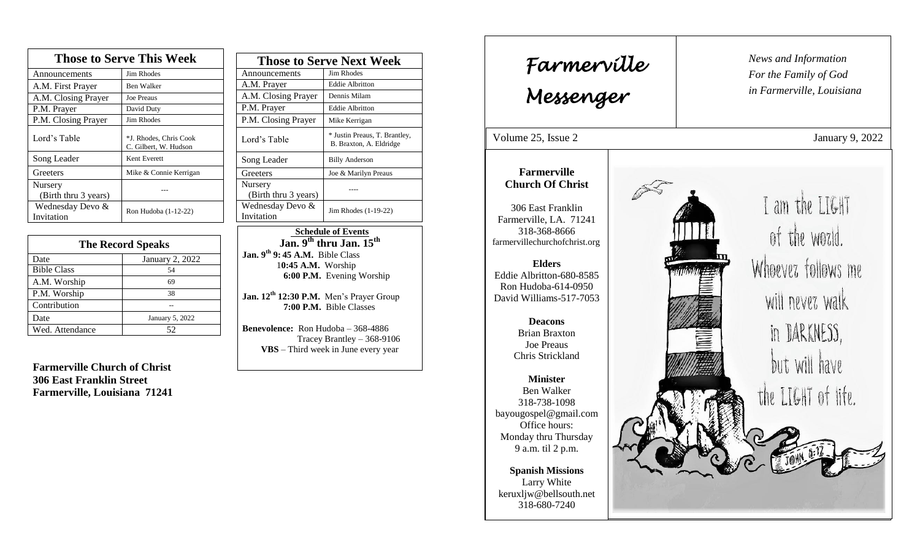| <b>Those to Serve This Week</b> |                                                 |  |
|---------------------------------|-------------------------------------------------|--|
| Announcements                   | <b>Jim Rhodes</b>                               |  |
| A.M. First Prayer               | <b>Ben Walker</b>                               |  |
| A.M. Closing Prayer             | <b>Joe Preaus</b>                               |  |
| P.M. Prayer                     | David Duty                                      |  |
| P.M. Closing Prayer             | Jim Rhodes                                      |  |
| Lord's Table                    | *J. Rhodes, Chris Cook<br>C. Gilbert, W. Hudson |  |
| Song Leader                     | Kent Everett                                    |  |
| Greeters                        | Mike & Connie Kerrigan                          |  |
| Nursery<br>(Birth thru 3 years) |                                                 |  |
| Wednesday Devo &<br>Invitation  | Ron Hudoba (1-12-22)                            |  |

| <b>The Record Speaks</b> |                        |  |
|--------------------------|------------------------|--|
| Date                     | <b>January 2, 2022</b> |  |
| <b>Bible Class</b>       | 54                     |  |
| A.M. Worship             | 69                     |  |
| P.M. Worship             | 38                     |  |
| Contribution             |                        |  |
| Date                     | January 5, 2022        |  |
| Wed. Attendance          | 52.                    |  |

**Farmerville Church of Christ 306 East Franklin Street Farmerville, Louisiana 71241**

| <b>Those to Serve Next Week</b> |                                                          |
|---------------------------------|----------------------------------------------------------|
| Announcements                   | Jim Rhodes                                               |
| A.M. Prayer                     | <b>Eddie Albritton</b>                                   |
| A.M. Closing Prayer             | Dennis Milam                                             |
| P.M. Prayer                     | <b>Eddie Albritton</b>                                   |
| P.M. Closing Prayer             | Mike Kerrigan                                            |
| Lord's Table                    | * Justin Preaus, T. Brantley,<br>B. Braxton, A. Eldridge |
| Song Leader                     | <b>Billy Anderson</b>                                    |
| Greeters                        | Joe & Marilyn Preaus                                     |
| Nursery<br>(Birth thru 3 years) |                                                          |
| Wednesday Devo &<br>Invitation  | Jim Rhodes (1-19-22)                                     |

 **Schedule of Events Jan. 9th thru Jan. 15th Jan. 9th 9: 45 A.M.** Bible Class 1**0:45 A.M.** Worship  **6:00 P.M.** Evening Worship

**Jan. 12th 12:30 P.M.** Men's Prayer Group **7:00 P.M.** Bible Classes

**Benevolence:** Ron Hudoba – 368-4886 Tracey Brantley – 368-9106 **VBS** – Third week in June every year